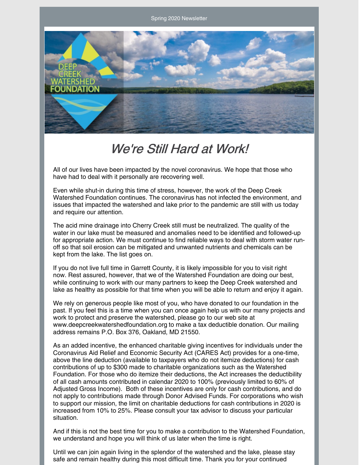Spring 2020 Newsletter



#### We're Still Hard at Work!

All of our lives have been impacted by the novel coronavirus. We hope that those who have had to deal with it personally are recovering well.

Even while shut-in during this time of stress, however, the work of the Deep Creek Watershed Foundation continues. The coronavirus has not infected the environment, and issues that impacted the watershed and lake prior to the pandemic are still with us today and require our attention.

The acid mine drainage into Cherry Creek still must be neutralized. The quality of the water in our lake must be measured and anomalies need to be identified and followed-up for appropriate action. We must continue to find reliable ways to deal with storm water runoff so that soil erosion can be mitigated and unwanted nutrients and chemicals can be kept from the lake. The list goes on.

If you do not live full time in Garrett County, it is likely impossible for you to visit right now. Rest assured, however, that we of the Watershed Foundation are doing our best, while continuing to work with our many partners to keep the Deep Creek watershed and lake as healthy as possible for that time when you will be able to return and enjoy it again.

We rely on generous people like most of you, who have donated to our foundation in the past. If you feel this is a time when you can once again help us with our many projects and work to protect and preserve the watershed, please go to our web site at [www.deepcreekwatershedfoundation.org](http://www.deepcreekwatershedfoundation.org) to make a tax deductible donation. Our mailing address remains P.O. Box 376, Oakland, MD 21550.

As an added incentive, the enhanced charitable giving incentives for individuals under the Coronavirus Aid Relief and Economic Security Act (CARES Act) provides for a one-time, above the line deduction (available to taxpayers who do not itemize deductions) for cash contributions of up to \$300 made to charitable organizations such as the Watershed Foundation. For those who do itemize their deductions, the Act increases the deductibility of all cash amounts contributed in calendar 2020 to 100% (previously limited to 60% of Adjusted Gross Income). Both of these incentives are only for cash contributions, and do not apply to contributions made through Donor Advised Funds. For corporations who wish to support our mission, the limit on charitable deductions for cash contributions in 2020 is increased from 10% to 25%. Please consult your tax advisor to discuss your particular situation.

And if this is not the best time for you to make a contribution to the Watershed Foundation, we understand and hope you will think of us later when the time is right.

Until we can join again living in the splendor of the watershed and the lake, please stay safe and remain healthy during this most difficult time. Thank you for your continued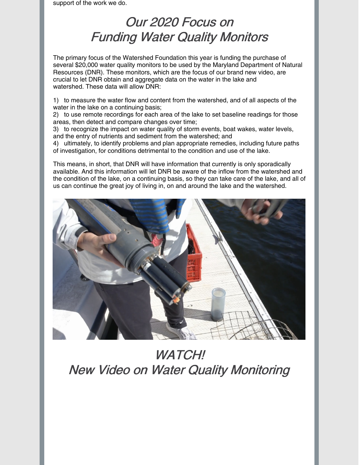support of the work we do.

## Our 2020 Focus on Funding Water Quality Monitors

The primary focus of the Watershed Foundation this year is funding the purchase of several \$20,000 water quality monitors to be used by the Maryland Department of Natural Resources (DNR). These monitors, which are the focus of our brand new video, are crucial to let DNR obtain and aggregate data on the water in the lake and watershed. These data will allow DNR:

1) to measure the water flow and content from the watershed, and of all aspects of the water in the lake on a continuing basis;

2) to use remote recordings for each area of the lake to set baseline readings for those areas, then detect and compare changes over time;

3) to recognize the impact on water quality of storm events, boat wakes, water levels, and the entry of nutrients and sediment from the watershed; and

4) ultimately, to identify problems and plan appropriate remedies, including future paths of investigation, for conditions detrimental to the condition and use of the lake.

This means, in short, that DNR will have information that currently is only sporadically available. And this information will let DNR be aware of the inflow from the watershed and the condition of the lake, on a continuing basis, so they can take care of the lake, and all of us can continue the great joy of living in, on and around the lake and the watershed.



# WATCH! New Video on Water Quality Monitoring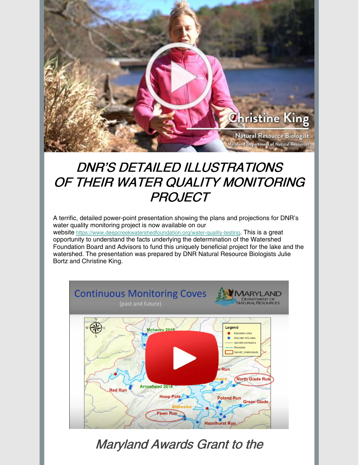

# DNR'S DETAILED ILLUSTRATIONS OF THEIR WATER QUALITY MONITORING **PROJECT**

A terrific, detailed power-point presentation showing the plans and projections for DNR's water quality monitoring project is now available on our

website <https://www.deepcreekwatershedfoundation.org/water-quality-testing>. This is a great opportunity to understand the facts underlying the determination of the Watershed Foundation Board and Advisors to fund this uniquely beneficial project for the lake and the watershed. The presentation was prepared by DNR Natural Resource Biologists Julie Bortz and Christine King.



Maryland Awards Grant to the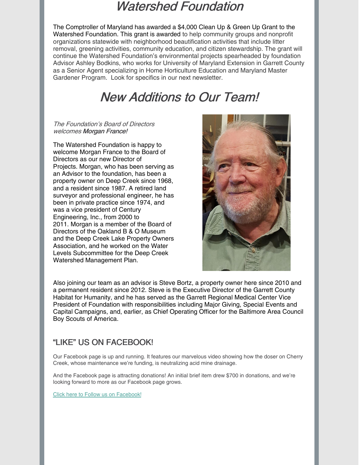#### Watershed Foundation

The Comptroller of Maryland has awarded a \$4,000 Clean Up & Green Up Grant to the Watershed Foundation. This grant is awarded to help community groups and nonprofit organizations statewide with neighborhood beautification activities that include litter removal, greening activities, community education, and citizen stewardship. The grant will continue the Watershed Foundation's environmental projects spearheaded by foundation Advisor Ashley Bodkins, who works for University of Maryland Extension in Garrett County as a Senior Agent specializing in Home Horticulture Education and Maryland Master Gardener Program. Look for specifics in our next newsletter.

### New Additions to Our Team!

#### The Foundation's Board of Directors welcomes Morgan France!

The Watershed Foundation is happy to welcome Morgan France to the Board of Directors as our new Director of Projects. Morgan, who has been serving as an Advisor to the foundation, has been a property owner on Deep Creek since 1968, and a resident since 1987. A retired land surveyor and professional engineer, he has been in private practice since 1974, and was a vice president of Century Engineering, Inc., from 2000 to 2011. Morgan is a member of the Board of Directors of the Oakland B & O Museum and the Deep Creek Lake Property Owners Association, and he worked on the Water Levels Subcommittee for the Deep Creek Watershed Management Plan.



Also joining our team as an advisor is Steve Bortz, a property owner here since 2010 and a permanent resident since 2012. Steve is the Executive Director of the Garrett County Habitat for Humanity, and he has served as the Garrett Regional Medical Center Vice President of Foundation with responsibilities including Major Giving, Special Events and Capital Campaigns, and, earlier, as Chief Operating Officer for the Baltimore Area Council Boy Scouts of America.

#### "LIKE" US ON FACEBOOK!

Our Facebook page is up and running. It features our marvelous video showing how the doser on Cherry Creek, whose maintenance we're funding, is neutralizing acid mine drainage.

And the Facebook page is attracting donations! An initial brief item drew \$700 in donations, and we're looking forward to more as our Facebook page grows.

Click here to Follow us on [Facebook!](https://www.facebook.com/DeepCreekWatershedFoundation/)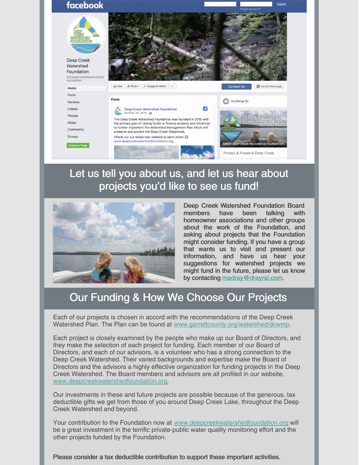

#### Let us tell you about us, and let us hear about projects you'd like to see us fund!



Deep Creek Watershed Foundation Board members have been talking with homeowner associations and other groups about the work of the Foundation, and asking about projects that the Foundation might consider funding. If you have a group that wants us to visit and present our information, and have us hear your suggestions for watershed projects we might fund in the future, please let us know by contacting [madray@drayrai.com](mailto:madray@drayrai.com).

#### Our Funding & How We Choose Our Projects

Each of our projects is chosen in accord with the recommendations of the Deep Creek Watershed Plan. The Plan can be found at [www.garrettcounty.org/watershed/dcwmp](http://www.garrettcounty.org/watershed/dcwmp).

Each project is closely examined by the people who make up our Board of Directors, and they make the selection of each project for funding. Each member of our Board of Directors, and each of our advisors, is a volunteer who has a strong connection to the Deep Creek Watershed. Their varied backgrounds and expertise make the Board of Directors and the advisors a highly effective organization for funding projects in the Deep Creek Watershed. The Board members and advisors are all profiled in our website, [www.deepcreekwatershedfoundation.org](http://www.deepcreekwatershedfoundation.org/).

Our investments in these and future projects are possible because of the generous, tax deductible gifts we get from those of you around Deep Creek Lake, throughout the Deep Creek Watershed and beyond.

Your contribution to the Foundation now at [www.deepcreekwatershedfoundation.org](http://www.deepcreekwatershedfoundation.org/) will be a great investment in the terrific private-public water quality monitoring effort and the other projects funded by the Foundation.

Please consider a tax deductible contribution to support these important activities.